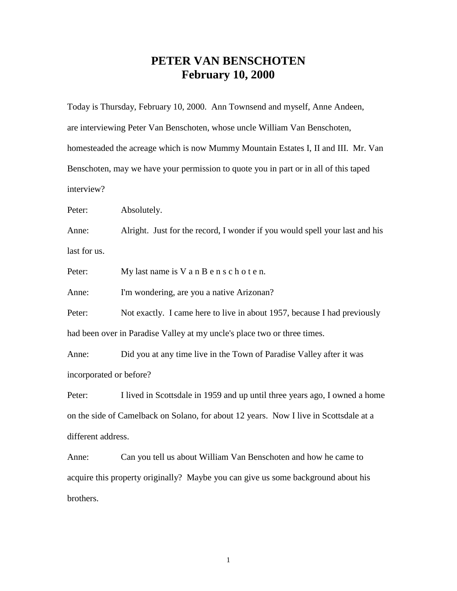## **PETER VAN BENSCHOTEN February 10, 2000**

Today is Thursday, February 10, 2000. Ann Townsend and myself, Anne Andeen, are interviewing Peter Van Benschoten, whose uncle William Van Benschoten, homesteaded the acreage which is now Mummy Mountain Estates I, II and III. Mr. Van Benschoten, may we have your permission to quote you in part or in all of this taped interview?

Peter: Absolutely.

Anne: Alright. Just for the record, I wonder if you would spell your last and his last for us.

Peter: My last name is V a n B e n s c h o t e n.

Anne: I'm wondering, are you a native Arizonan?

Peter: Not exactly. I came here to live in about 1957, because I had previously had been over in Paradise Valley at my uncle's place two or three times.

Anne: Did you at any time live in the Town of Paradise Valley after it was incorporated or before?

Peter: I lived in Scottsdale in 1959 and up until three years ago, I owned a home on the side of Camelback on Solano, for about 12 years. Now I live in Scottsdale at a different address.

Anne: Can you tell us about William Van Benschoten and how he came to acquire this property originally? Maybe you can give us some background about his brothers.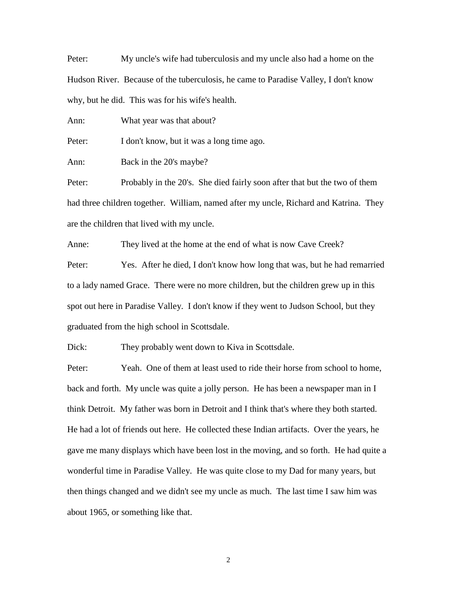Peter: My uncle's wife had tuberculosis and my uncle also had a home on the Hudson River. Because of the tuberculosis, he came to Paradise Valley, I don't know why, but he did. This was for his wife's health.

Ann: What year was that about?

Peter: I don't know, but it was a long time ago.

Ann: Back in the 20's maybe?

Peter: Probably in the 20's. She died fairly soon after that but the two of them had three children together. William, named after my uncle, Richard and Katrina. They are the children that lived with my uncle.

Anne: They lived at the home at the end of what is now Cave Creek?

Peter: Yes. After he died, I don't know how long that was, but he had remarried to a lady named Grace. There were no more children, but the children grew up in this spot out here in Paradise Valley. I don't know if they went to Judson School, but they graduated from the high school in Scottsdale.

Dick: They probably went down to Kiva in Scottsdale.

Peter: Yeah. One of them at least used to ride their horse from school to home, back and forth. My uncle was quite a jolly person. He has been a newspaper man in I think Detroit. My father was born in Detroit and I think that's where they both started. He had a lot of friends out here. He collected these Indian artifacts. Over the years, he gave me many displays which have been lost in the moving, and so forth. He had quite a wonderful time in Paradise Valley. He was quite close to my Dad for many years, but then things changed and we didn't see my uncle as much. The last time I saw him was about 1965, or something like that.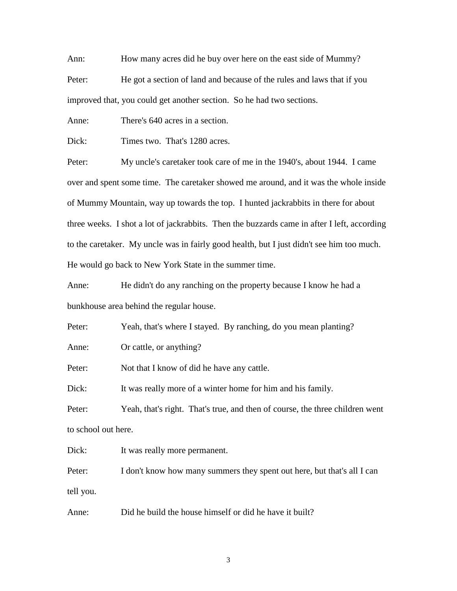Ann: How many acres did he buy over here on the east side of Mummy? Peter: He got a section of land and because of the rules and laws that if you improved that, you could get another section. So he had two sections.

Anne: There's 640 acres in a section.

Dick: Times two. That's 1280 acres.

Peter: My uncle's caretaker took care of me in the 1940's, about 1944. I came over and spent some time. The caretaker showed me around, and it was the whole inside of Mummy Mountain, way up towards the top. I hunted jackrabbits in there for about three weeks. I shot a lot of jackrabbits. Then the buzzards came in after I left, according to the caretaker. My uncle was in fairly good health, but I just didn't see him too much. He would go back to New York State in the summer time.

Anne: He didn't do any ranching on the property because I know he had a bunkhouse area behind the regular house.

Peter: Yeah, that's where I stayed. By ranching, do you mean planting?

Anne: Or cattle, or anything?

Peter: Not that I know of did he have any cattle.

Dick: It was really more of a winter home for him and his family.

Peter: Yeah, that's right. That's true, and then of course, the three children went to school out here.

Dick: It was really more permanent.

Peter: I don't know how many summers they spent out here, but that's all I can tell you.

Anne: Did he build the house himself or did he have it built?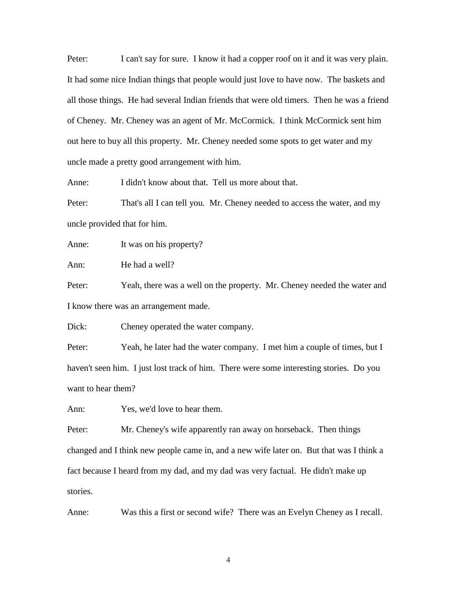Peter: I can't say for sure. I know it had a copper roof on it and it was very plain. It had some nice Indian things that people would just love to have now. The baskets and all those things. He had several Indian friends that were old timers. Then he was a friend of Cheney. Mr. Cheney was an agent of Mr. McCormick. I think McCormick sent him out here to buy all this property. Mr. Cheney needed some spots to get water and my uncle made a pretty good arrangement with him.

Anne: I didn't know about that. Tell us more about that.

Peter: That's all I can tell you. Mr. Cheney needed to access the water, and my uncle provided that for him.

Anne: It was on his property?

Ann: He had a well?

Peter: Yeah, there was a well on the property. Mr. Cheney needed the water and I know there was an arrangement made.

Dick: Cheney operated the water company.

Peter: Yeah, he later had the water company. I met him a couple of times, but I haven't seen him. I just lost track of him. There were some interesting stories. Do you want to hear them?

Ann: Yes, we'd love to hear them.

Peter: Mr. Cheney's wife apparently ran away on horseback. Then things changed and I think new people came in, and a new wife later on. But that was I think a fact because I heard from my dad, and my dad was very factual. He didn't make up stories.

Anne: Was this a first or second wife? There was an Evelyn Cheney as I recall.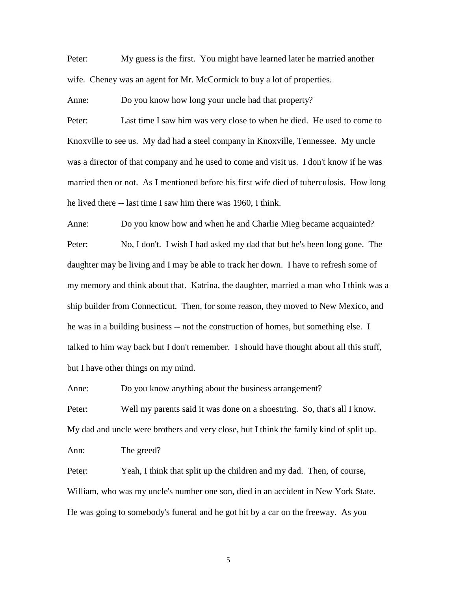Peter: My guess is the first. You might have learned later he married another wife. Cheney was an agent for Mr. McCormick to buy a lot of properties.

Anne: Do you know how long your uncle had that property?

Peter: Last time I saw him was very close to when he died. He used to come to Knoxville to see us. My dad had a steel company in Knoxville, Tennessee. My uncle was a director of that company and he used to come and visit us. I don't know if he was married then or not. As I mentioned before his first wife died of tuberculosis. How long he lived there -- last time I saw him there was 1960, I think.

Anne: Do you know how and when he and Charlie Mieg became acquainted? Peter: No, I don't. I wish I had asked my dad that but he's been long gone. The daughter may be living and I may be able to track her down. I have to refresh some of my memory and think about that. Katrina, the daughter, married a man who I think was a ship builder from Connecticut. Then, for some reason, they moved to New Mexico, and he was in a building business -- not the construction of homes, but something else. I talked to him way back but I don't remember. I should have thought about all this stuff, but I have other things on my mind.

Anne: Do you know anything about the business arrangement?

Peter: Well my parents said it was done on a shoestring. So, that's all I know. My dad and uncle were brothers and very close, but I think the family kind of split up. Ann: The greed?

Peter: Yeah, I think that split up the children and my dad. Then, of course, William, who was my uncle's number one son, died in an accident in New York State. He was going to somebody's funeral and he got hit by a car on the freeway. As you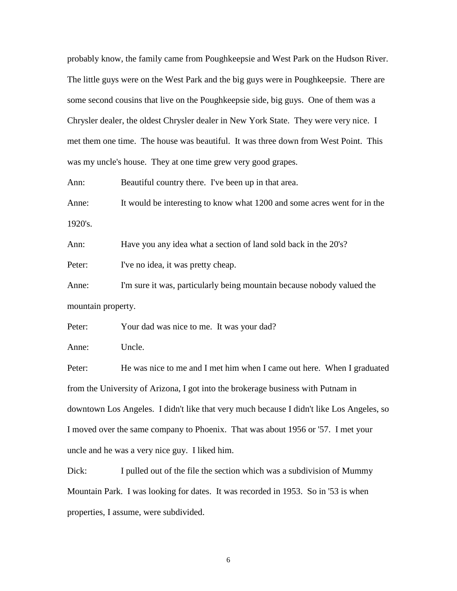probably know, the family came from Poughkeepsie and West Park on the Hudson River. The little guys were on the West Park and the big guys were in Poughkeepsie. There are some second cousins that live on the Poughkeepsie side, big guys. One of them was a Chrysler dealer, the oldest Chrysler dealer in New York State. They were very nice. I met them one time. The house was beautiful. It was three down from West Point. This was my uncle's house. They at one time grew very good grapes.

Ann: Beautiful country there. I've been up in that area.

Anne: It would be interesting to know what 1200 and some acres went for in the 1920's.

Ann: Have you any idea what a section of land sold back in the 20's?

Peter: I've no idea, it was pretty cheap.

Anne: I'm sure it was, particularly being mountain because nobody valued the mountain property.

Peter: Your dad was nice to me. It was your dad?

Anne: Uncle.

Peter: He was nice to me and I met him when I came out here. When I graduated from the University of Arizona, I got into the brokerage business with Putnam in downtown Los Angeles. I didn't like that very much because I didn't like Los Angeles, so I moved over the same company to Phoenix. That was about 1956 or '57. I met your uncle and he was a very nice guy. I liked him.

Dick: I pulled out of the file the section which was a subdivision of Mummy Mountain Park. I was looking for dates. It was recorded in 1953. So in '53 is when properties, I assume, were subdivided.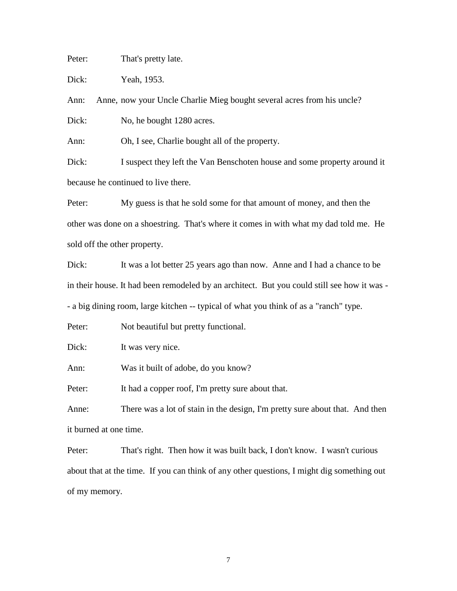Peter: That's pretty late.

Dick: Yeah, 1953.

Ann: Anne, now your Uncle Charlie Mieg bought several acres from his uncle?

Dick: No, he bought 1280 acres.

Ann: Oh, I see, Charlie bought all of the property.

Dick: I suspect they left the Van Benschoten house and some property around it because he continued to live there.

Peter: My guess is that he sold some for that amount of money, and then the other was done on a shoestring. That's where it comes in with what my dad told me. He sold off the other property.

Dick: It was a lot better 25 years ago than now. Anne and I had a chance to be in their house. It had been remodeled by an architect. But you could still see how it was - - a big dining room, large kitchen -- typical of what you think of as a "ranch" type.

Peter: Not beautiful but pretty functional.

Dick: It was very nice.

Ann: Was it built of adobe, do you know?

Peter: It had a copper roof, I'm pretty sure about that.

Anne: There was a lot of stain in the design, I'm pretty sure about that. And then it burned at one time.

Peter: That's right. Then how it was built back, I don't know. I wasn't curious about that at the time. If you can think of any other questions, I might dig something out of my memory.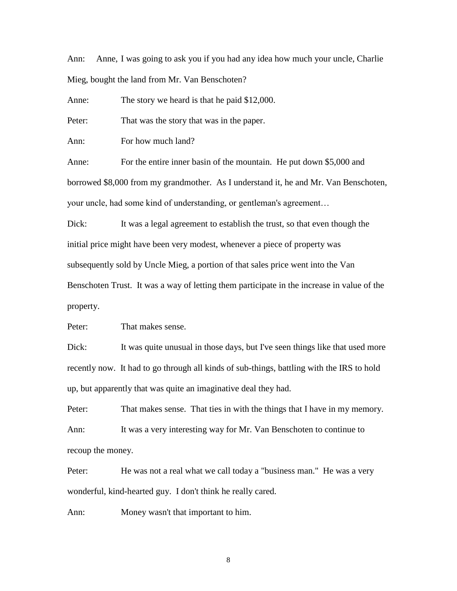Ann: Anne, I was going to ask you if you had any idea how much your uncle, Charlie Mieg, bought the land from Mr. Van Benschoten?

Anne: The story we heard is that he paid \$12,000.

Peter: That was the story that was in the paper.

Ann: For how much land?

Anne: For the entire inner basin of the mountain. He put down \$5,000 and borrowed \$8,000 from my grandmother. As I understand it, he and Mr. Van Benschoten, your uncle, had some kind of understanding, or gentleman's agreement…

Dick: It was a legal agreement to establish the trust, so that even though the initial price might have been very modest, whenever a piece of property was subsequently sold by Uncle Mieg, a portion of that sales price went into the Van Benschoten Trust. It was a way of letting them participate in the increase in value of the property.

Peter: That makes sense.

Dick: It was quite unusual in those days, but I've seen things like that used more recently now. It had to go through all kinds of sub-things, battling with the IRS to hold up, but apparently that was quite an imaginative deal they had.

Peter: That makes sense. That ties in with the things that I have in my memory. Ann: It was a very interesting way for Mr. Van Benschoten to continue to recoup the money.

Peter: He was not a real what we call today a "business man." He was a very wonderful, kind-hearted guy. I don't think he really cared.

Ann: Money wasn't that important to him.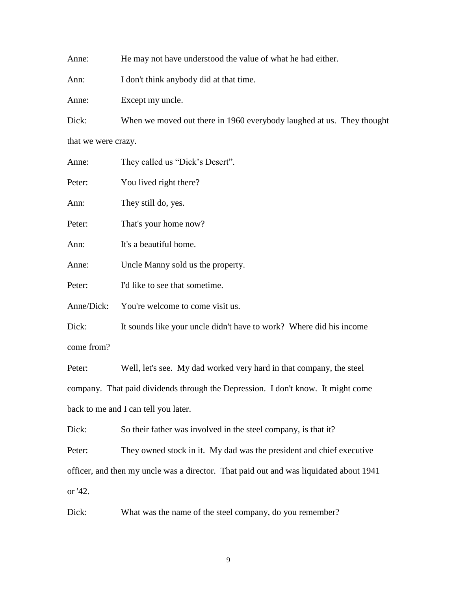Anne: He may not have understood the value of what he had either.

Ann: I don't think anybody did at that time.

Anne: Except my uncle.

Dick: When we moved out there in 1960 everybody laughed at us. They thought that we were crazy.

| Anne:      | They called us "Dick's Desert".                                     |
|------------|---------------------------------------------------------------------|
| Peter:     | You lived right there?                                              |
| Ann:       | They still do, yes.                                                 |
| Peter:     | That's your home now?                                               |
| Ann:       | It's a beautiful home.                                              |
| Anne:      | Uncle Manny sold us the property.                                   |
| Peter:     | I'd like to see that sometime.                                      |
| Anne/Dick: | You're welcome to come visit us.                                    |
| Dick:      | It sounds like your uncle didn't have to work? Where did his income |
| come from? |                                                                     |

Peter: Well, let's see. My dad worked very hard in that company, the steel company. That paid dividends through the Depression. I don't know. It might come back to me and I can tell you later.

Dick: So their father was involved in the steel company, is that it?

Peter: They owned stock in it. My dad was the president and chief executive officer, and then my uncle was a director. That paid out and was liquidated about 1941 or '42.

Dick: What was the name of the steel company, do you remember?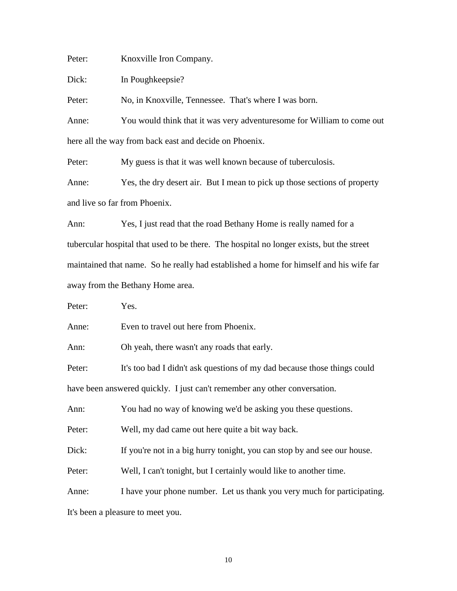Peter: Knoxville Iron Company.

Dick: In Poughkeepsie?

Peter: No, in Knoxville, Tennessee. That's where I was born.

Anne: You would think that it was very adventuresome for William to come out here all the way from back east and decide on Phoenix.

Peter: My guess is that it was well known because of tuberculosis.

Anne: Yes, the dry desert air. But I mean to pick up those sections of property and live so far from Phoenix.

Ann: Yes, I just read that the road Bethany Home is really named for a tubercular hospital that used to be there. The hospital no longer exists, but the street maintained that name. So he really had established a home for himself and his wife far away from the Bethany Home area.

Peter: Yes.

Anne: Even to travel out here from Phoenix.

Ann: Oh yeah, there wasn't any roads that early.

Peter: It's too bad I didn't ask questions of my dad because those things could have been answered quickly. I just can't remember any other conversation.

Ann: You had no way of knowing we'd be asking you these questions.

Peter: Well, my dad came out here quite a bit way back.

Dick: If you're not in a big hurry tonight, you can stop by and see our house.

Peter: Well, I can't tonight, but I certainly would like to another time.

Anne: I have your phone number. Let us thank you very much for participating. It's been a pleasure to meet you.